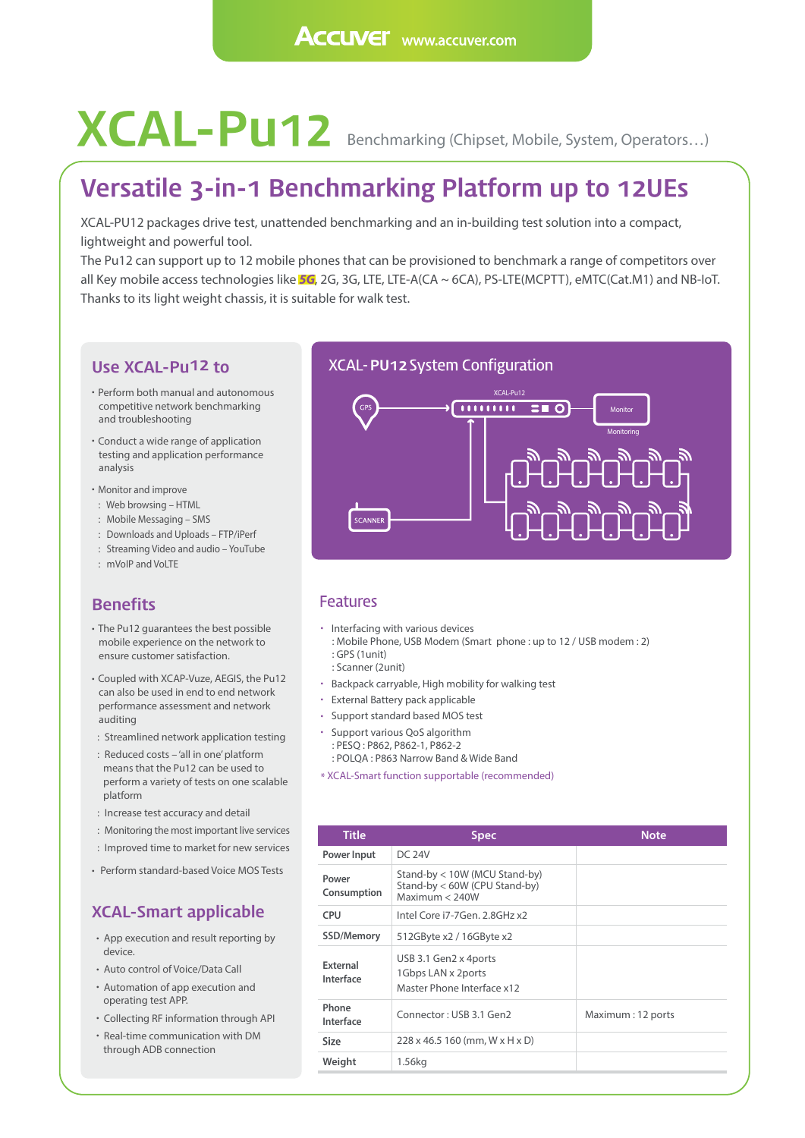# **XCAL-PU12** Benchmarking (Chipset, Mobile, System, Operators...)

## **Versatile 3-in-1 Benchmarking Platform up to 12UEs**

XCAL-PU12 packages drive test, unattended benchmarking and an in-building test solution into a compact, lightweight and powerful tool.

The Pu12 can support up to 12 mobile phones that can be provisioned to benchmark a range of competitors over all Key mobile access technologies like *5G*, 2G, 3G, LTE, LTE-A(CA ~ 6CA), PS-LTE(MCPTT), eMTC(Cat.M1) and NB-IoT. Thanks to its light weight chassis, it is suitable for walk test.

#### **Use XCAL-Pu12 to**

- Perform both manual and autonomous competitive network benchmarking and troubleshooting
- Conduct a wide range of application testing and application performance analysis
- Monitor and improve
- : Web browsing HTML
- : Mobile Messaging SMS
- : Downloads and Uploads FTP/iPerf
- : Streaming Video and audio YouTube
- : mVoIP and VoLTE

### **Benefits**

- The Pu12 guarantees the best possible mobile experience on the network to ensure customer satisfaction.
- Coupled with XCAP-Vuze, AEGIS, the Pu12 can also be used in end to end network performance assessment and network auditing
- : Streamlined network application testing
- : Reduced costs 'all in one' platform means that the Pu12 can be used to perform a variety of tests on one scalable platform
- : Increase test accuracy and detail
- : Monitoring the most important live services
- : Improved time to market for new services
- Perform standard-based Voice MOS Tests

## **XCAL-Smart applicable**

- App execution and result reporting by device.
- Auto control of Voice/Data Call
- Automation of app execution and operating test APP.
- Collecting RF information through API
- Real-time communication with DM through ADB connection

#### **XCAL-PU12 System Configuration**



#### **Features**

- Interfacing with various devices
	- : Mobile Phone, USB Modem (Smart phone : up to 12 / USB modem : 2) : GPS (1unit) : Scanner (2unit)
- Backpack carryable, High mobility for walking test
- External Battery pack applicable
- Support standard based MOS test
- Support various QoS algorithm : PESQ : P862, P862-1, P862-2 : POLQA : P863 Narrow Band & Wide Band
- \* XCAL-Smart function supportable (recommended)

| <b>Title</b>          | <b>Spec</b>                                                                      | <b>Note</b>        |
|-----------------------|----------------------------------------------------------------------------------|--------------------|
| Power Input           | <b>DC 24V</b>                                                                    |                    |
| Power<br>Consumption  | Stand-by < 10W (MCU Stand-by)<br>Stand-by < 60W (CPU Stand-by)<br>Maximum < 240W |                    |
| <b>CPU</b>            | Intel Core $i7-7Gen$ , $2.8GHz$ $x2$                                             |                    |
| SSD/Memory            | 512GByte x2 / 16GByte x2                                                         |                    |
| External<br>Interface | USB 3.1 Gen2 x 4ports<br>1Gbps LAN x 2ports<br>Master Phone Interface x12        |                    |
| Phone<br>Interface    | Connector: USB 3.1 Gen2                                                          | Maximum : 12 ports |
| Size                  | $228 \times 46.5160$ (mm, W $\times$ H $\times$ D)                               |                    |
| Weight                | 1.56kg                                                                           |                    |
|                       |                                                                                  |                    |